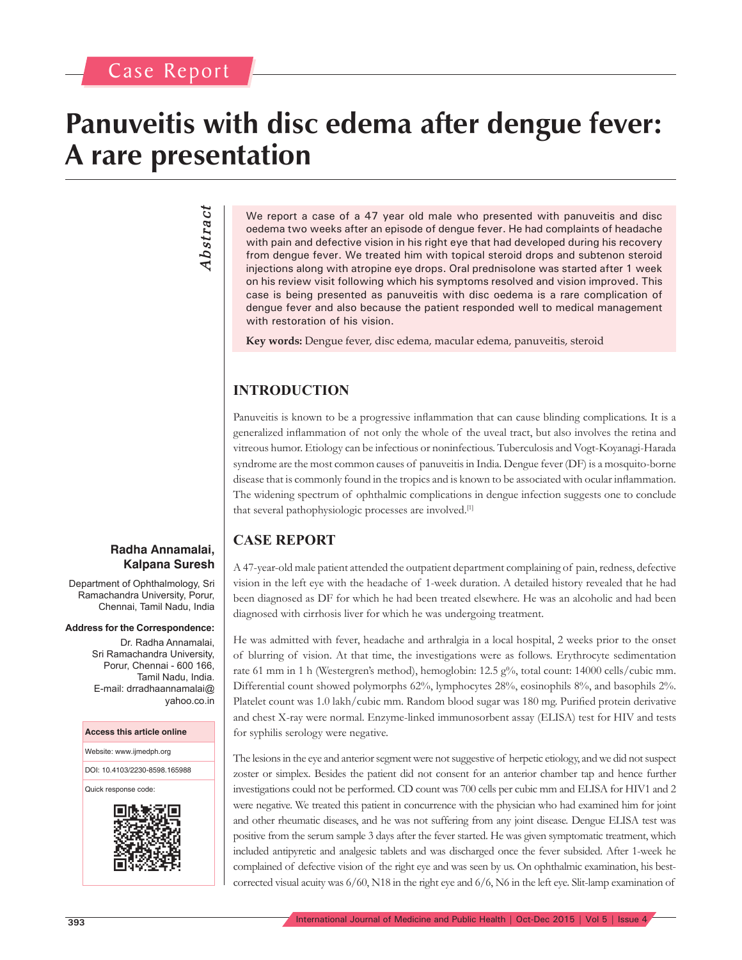## **Panuveitis with disc edema after dengue fever: A rare presentation**

# *Abstract* Abstract

We report a case of a 47 year old male who presented with panuveitis and disc oedema two weeks after an episode of dengue fever. He had complaints of headache with pain and defective vision in his right eye that had developed during his recovery from dengue fever. We treated him with topical steroid drops and subtenon steroid injections along with atropine eye drops. Oral prednisolone was started after 1 week on his review visit following which his symptoms resolved and vision improved. This case is being presented as panuveitis with disc oedema is a rare complication of dengue fever and also because the patient responded well to medical management with restoration of his vision.

**Key words:** Dengue fever, disc edema, macular edema, panuveitis, steroid

## **INTRODUCTION**

Panuveitis is known to be a progressive inflammation that can cause blinding complications. It is a generalized inflammation of not only the whole of the uveal tract, but also involves the retina and vitreous humor. Etiology can be infectious or noninfectious. Tuberculosis and Vogt-Koyanagi-Harada syndrome are the most common causes of panuveitis in India. Dengue fever (DF) is a mosquito-borne disease that is commonly found in the tropics and is known to be associated with ocular inflammation. The widening spectrum of ophthalmic complications in dengue infection suggests one to conclude that several pathophysiologic processes are involved.[1]

### **CASE REPORT**

A 47-year-old male patient attended the outpatient department complaining of pain, redness, defective vision in the left eye with the headache of 1-week duration. A detailed history revealed that he had been diagnosed as DF for which he had been treated elsewhere. He was an alcoholic and had been diagnosed with cirrhosis liver for which he was undergoing treatment.

He was admitted with fever, headache and arthralgia in a local hospital, 2 weeks prior to the onset of blurring of vision. At that time, the investigations were as follows. Erythrocyte sedimentation rate 61 mm in 1 h (Westergren's method), hemoglobin: 12.5 g%, total count: 14000 cells/cubic mm. Differential count showed polymorphs 62%, lymphocytes 28%, eosinophils 8%, and basophils 2%. Platelet count was 1.0 lakh/cubic mm. Random blood sugar was 180 mg. Purified protein derivative and chest X-ray were normal. Enzyme-linked immunosorbent assay (ELISA) test for HIV and tests for syphilis serology were negative.

The lesions in the eye and anterior segment were not suggestive of herpetic etiology, and we did not suspect zoster or simplex. Besides the patient did not consent for an anterior chamber tap and hence further investigations could not be performed. CD count was 700 cells per cubic mm and ELISA for HIV1 and 2 were negative. We treated this patient in concurrence with the physician who had examined him for joint and other rheumatic diseases, and he was not suffering from any joint disease. Dengue ELISA test was positive from the serum sample 3 days after the fever started. He was given symptomatic treatment, which included antipyretic and analgesic tablets and was discharged once the fever subsided. After 1-week he complained of defective vision of the right eye and was seen by us. On ophthalmic examination, his bestcorrected visual acuity was  $6/60$ , N18 in the right eye and  $6/6$ , N6 in the left eye. Slit-lamp examination of

#### **Radha Annamalai, Kalpana Suresh**

Department of Ophthalmology, Sri Ramachandra University, Porur, Chennai, Tamil Nadu, India

#### **Address for the Correspondence:**

Dr. Radha Annamalai, Sri Ramachandra University, Porur, Chennai - 600 166, Tamil Nadu, India. E-mail: drradhaannamalai@ yahoo.co.in

#### **Access this article online**

Website: www.ijmedph.org

DOI: 10.4103/2230-8598.165988

Quick response code:

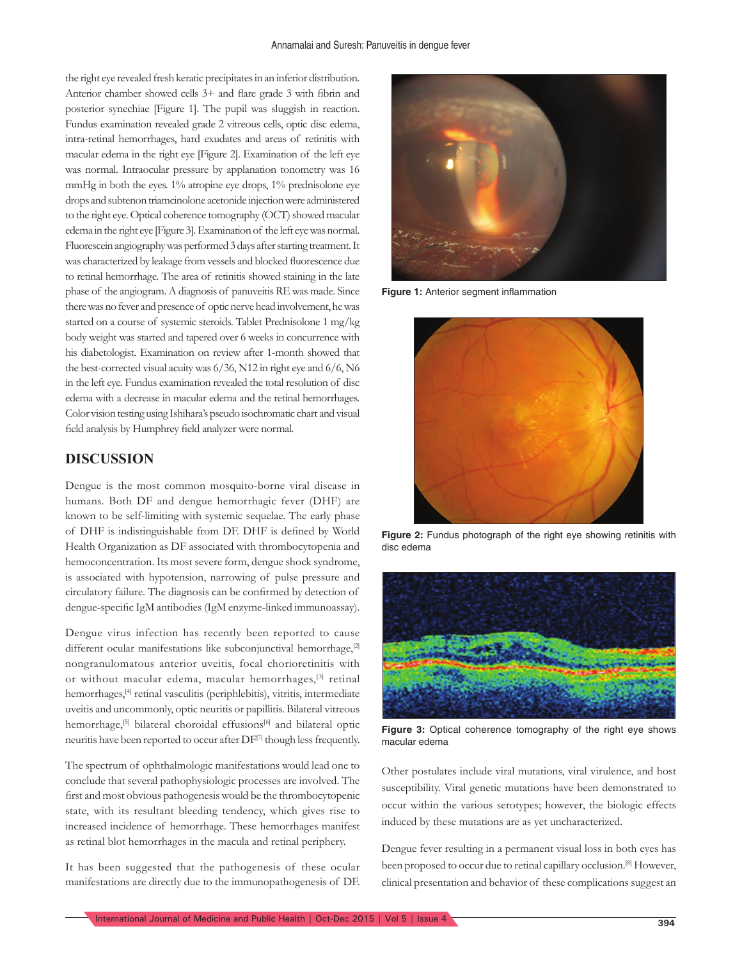the right eye revealed fresh keratic precipitates in an inferior distribution. Anterior chamber showed cells 3+ and flare grade 3 with fibrin and posterior synechiae [Figure 1]. The pupil was sluggish in reaction. Fundus examination revealed grade 2 vitreous cells, optic disc edema, intra-retinal hemorrhages, hard exudates and areas of retinitis with macular edema in the right eye [Figure 2]. Examination of the left eye was normal. Intraocular pressure by applanation tonometry was 16 mmHg in both the eyes. 1% atropine eye drops, 1% prednisolone eye drops and subtenon triamcinolone acetonide injection were administered to the right eye. Optical coherence tomography (OCT) showed macular edema in the right eye [Figure 3]. Examination of the left eye was normal. Fluorescein angiography was performed 3 days after starting treatment. It was characterized by leakage from vessels and blocked fluorescence due to retinal hemorrhage. The area of retinitis showed staining in the late phase of the angiogram. A diagnosis of panuveitis RE was made. Since there was no fever and presence of optic nerve head involvement, he was started on a course of systemic steroids. Tablet Prednisolone 1 mg/kg body weight was started and tapered over 6 weeks in concurrence with his diabetologist. Examination on review after 1-month showed that the best-corrected visual acuity was 6/36, N12 in right eye and 6/6, N6 in the left eye. Fundus examination revealed the total resolution of disc edema with a decrease in macular edema and the retinal hemorrhages. Color vision testing using Ishihara's pseudo isochromatic chart and visual field analysis by Humphrey field analyzer were normal.

#### **DISCUSSION**

Dengue is the most common mosquito-borne viral disease in humans. Both DF and dengue hemorrhagic fever (DHF) are known to be self-limiting with systemic sequelae. The early phase of DHF is indistinguishable from DF. DHF is defined by World Health Organization as DF associated with thrombocytopenia and hemoconcentration. Its most severe form, dengue shock syndrome, is associated with hypotension, narrowing of pulse pressure and circulatory failure. The diagnosis can be confirmed by detection of dengue-specific IgM antibodies (IgM enzyme-linked immunoassay).

Dengue virus infection has recently been reported to cause different ocular manifestations like subconjunctival hemorrhage,<sup>[2]</sup> nongranulomatous anterior uveitis, focal chorioretinitis with or without macular edema, macular hemorrhages,<sup>[3]</sup> retinal hemorrhages,<sup>[4]</sup> retinal vasculitis (periphlebitis), vitritis, intermediate uveitis and uncommonly, optic neuritis or papillitis. Bilateral vitreous hemorrhage,<sup>[5]</sup> bilateral choroidal effusions<sup>[6]</sup> and bilateral optic neuritis have been reported to occur after DF[7] though less frequently.

The spectrum of ophthalmologic manifestations would lead one to conclude that several pathophysiologic processes are involved. The first and most obvious pathogenesis would be the thrombocytopenic state, with its resultant bleeding tendency, which gives rise to increased incidence of hemorrhage. These hemorrhages manifest as retinal blot hemorrhages in the macula and retinal periphery.

It has been suggested that the pathogenesis of these ocular manifestations are directly due to the immunopathogenesis of DF.



**Figure 1:** Anterior segment inflammation



**Figure 2:** Fundus photograph of the right eye showing retinitis with disc edema



**Figure 3:** Optical coherence tomography of the right eye shows macular edema

Other postulates include viral mutations, viral virulence, and host susceptibility. Viral genetic mutations have been demonstrated to occur within the various serotypes; however, the biologic effects induced by these mutations are as yet uncharacterized.

Dengue fever resulting in a permanent visual loss in both eyes has been proposed to occur due to retinal capillary occlusion.<sup>[8]</sup> However, clinical presentation and behavior of these complications suggest an